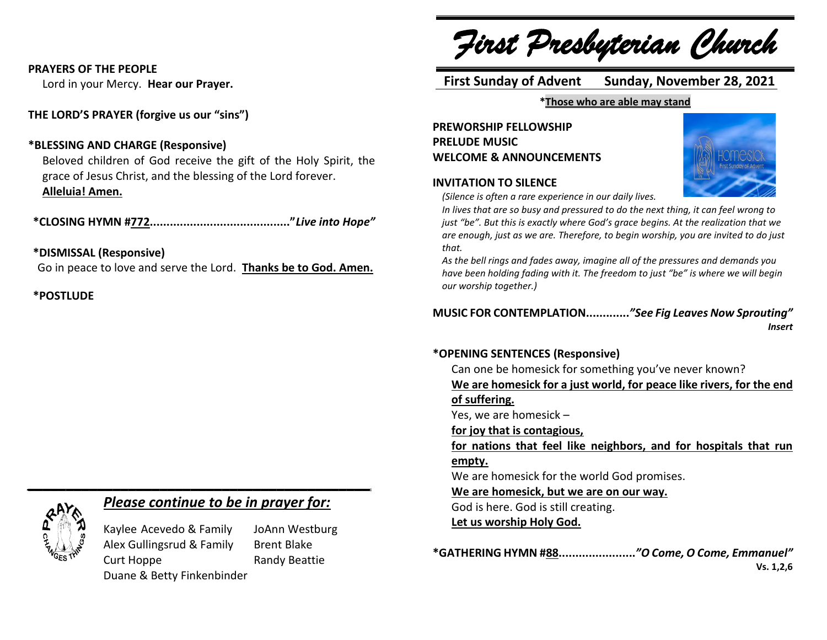#### **PRAYERS OF THE PEOPLE**

Lord in your Mercy. **Hear our Prayer.**

**THE LORD'S PRAYER (forgive us our "sins")**

#### **\*BLESSING AND CHARGE (Responsive)**

Beloved children of God receive the gift of the Holy Spirit, the grace of Jesus Christ, and the blessing of the Lord forever. **Alleluia! Amen.**

**\*CLOSING HYMN #772.........................................."***Live into Hope"*

#### **\*DISMISSAL (Responsive)**

Go in peace to love and serve the Lord. **Thanks be to God. Amen.**

**\*POSTLUDE**

# *Please continue to be in prayer for:*

Kaylee Acevedo & Family JoAnn Westburg Alex Gullingsrud & Family Brent Blake Curt Hoppe Randy Beattie Duane & Betty Finkenbinder

*\_\_\_\_\_\_\_\_\_\_\_\_\_\_\_\_\_\_\_\_\_\_\_\_\_\_\_\_\_\_\_\_\_\_\_\_\_\_\_\_\_\_\_\_*

*First Presbyterian Church*

# **First Sunday of Advent Sunday, November 28, 2021**

#### **\*Those who are able may stand**

**PREWORSHIP FELLOWSHIP PRELUDE MUSIC WELCOME & ANNOUNCEMENTS**





*(Silence is often a rare experience in our daily lives.*

*In lives that are so busy and pressured to do the next thing, it can feel wrong to just "be". But this is exactly where God's grace begins. At the realization that we are enough, just as we are. Therefore, to begin worship, you are invited to do just that.*

*As the bell rings and fades away, imagine all of the pressures and demands you have been holding fading with it. The freedom to just "be" is where we will begin our worship together.)*

#### **MUSIC FOR CONTEMPLATION.............***"See Fig Leaves Now Sprouting" Insert*

#### **\*OPENING SENTENCES (Responsive)**

Can one be homesick for something you've never known?

**We are homesick for a just world, for peace like rivers, for the end of suffering.**

Yes, we are homesick –

**for joy that is contagious,**

**for nations that feel like neighbors, and for hospitals that run empty.**

We are homesick for the world God promises.

**We are homesick, but we are on our way.**

God is here. God is still creating.

**Let us worship Holy God.**

**\*GATHERING HYMN #88.......................***"O Come, O Come, Emmanuel"*  **Vs. 1,2,6**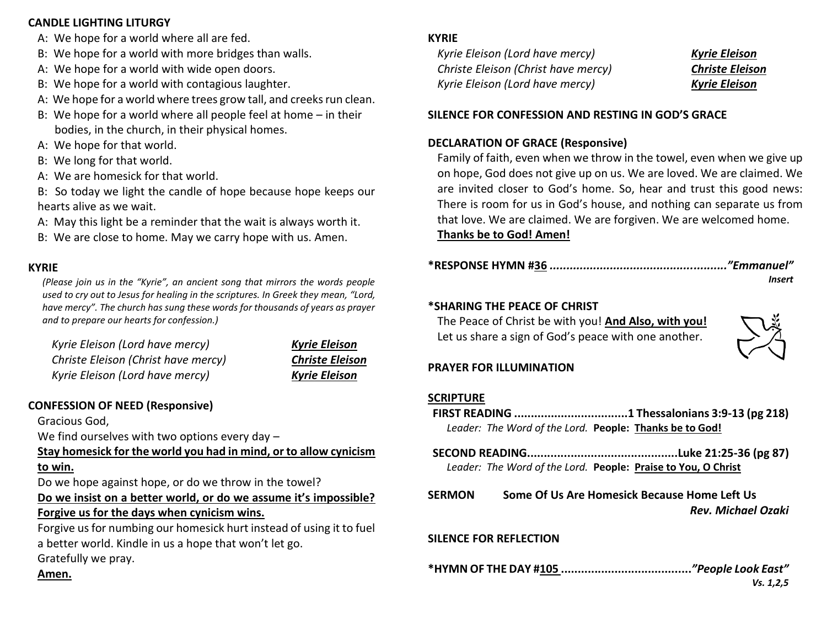#### **CANDLE LIGHTING LITURGY**

- A: We hope for a world where all are fed.
- B: We hope for a world with more bridges than walls.
- A: We hope for a world with wide open doors.
- B: We hope for a world with contagious laughter.
- A: We hope for a world where trees grow tall, and creeks run clean.
- B: We hope for a world where all people feel at home in their bodies, in the church, in their physical homes.
- A: We hope for that world.
- B: We long for that world.
- A: We are homesick for that world.

B: So today we light the candle of hope because hope keeps our hearts alive as we wait.

- A: May this light be a reminder that the wait is always worth it.
- B: We are close to home. May we carry hope with us. Amen.

## **KYRIE**

*(Please join us in the "Kyrie", an ancient song that mirrors the words people used to cry out to Jesus for healing in the scriptures. In Greek they mean, "Lord, have mercy". The church has sung these words for thousands of years as prayer and to prepare our hearts for confession.)*

| Kyrie Eleison (Lord have mercy)     | <b>Kyrie Eleison</b>   |
|-------------------------------------|------------------------|
| Christe Eleison (Christ have mercy) | <b>Christe Eleison</b> |
| Kyrie Eleison (Lord have mercy)     | <b>Kyrie Eleison</b>   |

# **CONFESSION OF NEED (Responsive)**

Gracious God,

We find ourselves with two options every day -

**Stay homesick for the world you had in mind, or to allow cynicism to win.**

Do we hope against hope, or do we throw in the towel?

## **Do we insist on a better world, or do we assume it's impossible? Forgive us for the days when cynicism wins.**

Forgive us for numbing our homesick hurt instead of using it to fuel a better world. Kindle in us a hope that won't let go. Gratefully we pray.

#### **KYRIE**

*Kyrie Eleison (Lord have mercy) Kyrie Eleison Christe Eleison (Christ have mercy) Christe Eleison Kyrie Eleison (Lord have mercy) Kyrie Eleison*

#### **SILENCE FOR CONFESSION AND RESTING IN GOD'S GRACE**

#### **DECLARATION OF GRACE (Responsive)**

Family of faith, even when we throw in the towel, even when we give up on hope, God does not give up on us. We are loved. We are claimed. We are invited closer to God's home. So, hear and trust this good news: There is room for us in God's house, and nothing can separate us from that love. We are claimed. We are forgiven. We are welcomed home.

**Thanks be to God! Amen!**

*Insert*

#### **\*SHARING THE PEACE OF CHRIST**

The Peace of Christ be with you! **And Also, with you!** Let us share a sign of God's peace with one another.



#### **PRAYER FOR ILLUMINATION**

#### **SCRIPTURE**

- **FIRST READING ..................................1 Thessalonians 3:9-13 (pg 218)** *Leader: The Word of the Lord.* **People: Thanks be to God!**
- **SECOND READING.............................................Luke 21:25-36 (pg 87)** *Leader: The Word of the Lord.* **People: Praise to You, O Christ**
- **SERMON Some Of Us Are Homesick Because Home Left Us** *Rev. Michael Ozaki*

# **SILENCE FOR REFLECTION**

**\*HYMN OF THE DAY #105 .......................................***"People Look East" Vs. 1,2,5*

#### **Amen.**